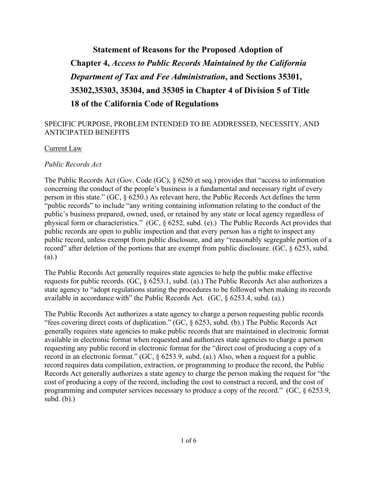# **Statement of Reasons for the Proposed Adoption of Chapter 4,** *Access to Public Records Maintained by the California Department of Tax and Fee Administration***, and Sections 35301, 35302,35303, 35304, and 35305 in Chapter 4 of Division 5 of Title 18 of the California Code of Regulations**

# SPECIFIC PURPOSE, PROBLEM INTENDED TO BE ADDRESSED, NECESSITY, AND ANTICIPATED BENEFITS

#### Current Law

#### *Public Records Act*

The Public Records Act (Gov. Code (GC), § 6250 et seq.) provides that "access to information concerning the conduct of the people's business is a fundamental and necessary right of every person in this state." (GC, § 6250.) As relevant here, the Public Records Act defines the term "public records" to include "any writing containing information relating to the conduct of the public's business prepared, owned, used, or retained by any state or local agency regardless of physical form or characteristics." (GC, § 6252, subd. (e).) The Public Records Act provides that public records are open to public inspection and that every person has a right to inspect any public record, unless exempt from public disclosure, and any "reasonably segregable portion of a record" after deletion of the portions that are exempt from public disclosure. (GC, § 6253, subd. (a).)

The Public Records Act generally requires state agencies to help the public make effective requests for public records. (GC, § 6253.1, subd. (a).) The Public Records Act also authorizes a state agency to "adopt regulations stating the procedures to be followed when making its records available in accordance with" the Public Records Act. (GC, § 6253.4, subd. (a).)

The Public Records Act authorizes a state agency to charge a person requesting public records "fees covering direct costs of duplication." (GC, § 6253, subd. (b).) The Public Records Act generally requires state agencies to make public records that are maintained in electronic format available in electronic format when requested and authorizes state agencies to charge a person requesting any public record in electronic format for the "direct cost of producing a copy of a record in an electronic format." (GC, § 6253.9, subd. (a).) Also, when a request for a public record requires data compilation, extraction, or programming to produce the record, the Public Records Act generally authorizes a state agency to charge the person making the request for "the cost of producing a copy of the record, including the cost to construct a record, and the cost of programming and computer services necessary to produce a copy of the record." (GC, § 6253.9, subd. (b).)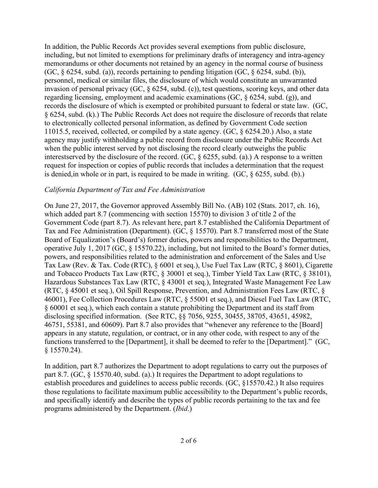In addition, the Public Records Act provides several exemptions from public disclosure, including, but not limited to exemptions for preliminary drafts of interagency and intra-agency memorandums or other documents not retained by an agency in the normal course of business (GC,  $\S$  6254, subd. (a)), records pertaining to pending litigation (GC,  $\S$  6254, subd. (b)), personnel, medical or similar files, the disclosure of which would constitute an unwarranted invasion of personal privacy (GC, § 6254, subd. (c)), test questions, scoring keys, and other data regarding licensing, employment and academic examinations (GC, § 6254, subd. (g)), and records the disclosure of which is exempted or prohibited pursuant to federal or state law. (GC, § 6254, subd. (k).) The Public Records Act does not require the disclosure of records that relate to electronically collected personal information, as defined by Government Code section 11015.5, received, collected, or compiled by a state agency. (GC, § 6254.20.) Also, a state agency may justify withholding a public record from disclosure under the Public Records Act when the public interest served by not disclosing the record clearly outweighs the public interest served by the disclosure of the record. (GC,  $\S$  6255, subd. (a).) A response to a written request for inspection or copies of public records that includes a determination that the request is denied, in whole or in part, is required to be made in writing. (GC, § 6255, subd. (b).)

## *California Department of Tax and Fee Administration*

On June 27, 2017, the Governor approved Assembly Bill No. (AB) 102 (Stats. 2017, ch. 16), which added part 8.7 (commencing with section 15570) to division 3 of title 2 of the Government Code (part 8.7). As relevant here, part 8.7 established the California Department of Tax and Fee Administration (Department). (GC, § 15570). Part 8.7 transferred most of the State Board of Equalization's (Board's) former duties, powers and responsibilities to the Department, operative July 1, 2017 (GC, § 15570.22), including, but not limited to the Board's former duties, powers, and responsibilities related to the administration and enforcement of the Sales and Use Tax Law (Rev. & Tax. Code (RTC), § 6001 et seq.), Use Fuel Tax Law (RTC, § 8601), Cigarette and Tobacco Products Tax Law (RTC, § 30001 et seq.), Timber Yield Tax Law (RTC, § 38101), Hazardous Substances Tax Law (RTC, § 43001 et seq.), Integrated Waste Management Fee Law (RTC, § 45001 et seq.), Oil Spill Response, Prevention, and Administration Fees Law (RTC, § 46001), Fee Collection Procedures Law (RTC, § 55001 et seq.), and Diesel Fuel Tax Law (RTC, § 60001 et seq.), which each contain a statute prohibiting the Department and its staff from disclosing specified information. (See RTC, §§ 7056, 9255, 30455, 38705, 43651, 45982, 46751, 55381, and 60609). Part 8.7 also provides that "whenever any reference to the [Board] appears in any statute, regulation, or contract, or in any other code, with respect to any of the functions transferred to the [Department], it shall be deemed to refer to the [Department]." (GC, § 15570.24).

In addition, part 8.7 authorizes the Department to adopt regulations to carry out the purposes of part 8.7. (GC, § 15570.40, subd. (a).) It requires the Department to adopt regulations to establish procedures and guidelines to access public records. (GC, §15570.42.) It also requires those regulations to facilitate maximum public accessibility to the Department's public records, and specifically identify and describe the types of public records pertaining to the tax and fee programs administered by the Department. (*Ibid*.)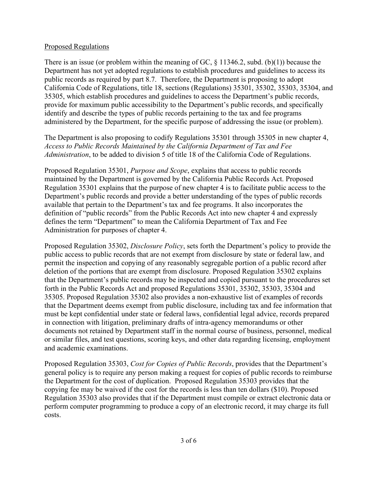## Proposed Regulations

There is an issue (or problem within the meaning of GC,  $\S$  11346.2, subd. (b)(1)) because the Department has not yet adopted regulations to establish procedures and guidelines to access its public records as required by part 8.7. Therefore, the Department is proposing to adopt California Code of Regulations, title 18, sections (Regulations) 35301, 35302, 35303, 35304, and 35305, which establish procedures and guidelines to access the Department's public records, provide for maximum public accessibility to the Department's public records, and specifically identify and describe the types of public records pertaining to the tax and fee programs administered by the Department, for the specific purpose of addressing the issue (or problem).

The Department is also proposing to codify Regulations 35301 through 35305 in new chapter 4, *Access to Public Records Maintained by the California Department of Tax and Fee Administration*, to be added to division 5 of title 18 of the California Code of Regulations.

Proposed Regulation 35301, *Purpose and Scope*, explains that access to public records maintained by the Department is governed by the California Public Records Act. Proposed Regulation 35301 explains that the purpose of new chapter 4 is to facilitate public access to the Department's public records and provide a better understanding of the types of public records available that pertain to the Department's tax and fee programs. It also incorporates the definition of "public records" from the Public Records Act into new chapter 4 and expressly defines the term "Department" to mean the California Department of Tax and Fee Administration for purposes of chapter 4.

Proposed Regulation 35302, *Disclosure Policy*, sets forth the Department's policy to provide the public access to public records that are not exempt from disclosure by state or federal law, and permit the inspection and copying of any reasonably segregable portion of a public record after deletion of the portions that are exempt from disclosure. Proposed Regulation 35302 explains that the Department's public records may be inspected and copied pursuant to the procedures set forth in the Public Records Act and proposed Regulations 35301, 35302, 35303, 35304 and 35305. Proposed Regulation 35302 also provides a non-exhaustive list of examples of records that the Department deems exempt from public disclosure, including tax and fee information that must be kept confidential under state or federal laws, confidential legal advice, records prepared in connection with litigation, preliminary drafts of intra-agency memorandums or other documents not retained by Department staff in the normal course of business, personnel, medical or similar files, and test questions, scoring keys, and other data regarding licensing, employment and academic examinations.

Proposed Regulation 35303, *Cost for Copies of Public Records*, provides that the Department's general policy is to require any person making a request for copies of public records to reimburse the Department for the cost of duplication. Proposed Regulation 35303 provides that the copying fee may be waived if the cost for the records is less than ten dollars (\$10). Proposed Regulation 35303 also provides that if the Department must compile or extract electronic data or perform computer programming to produce a copy of an electronic record, it may charge its full costs.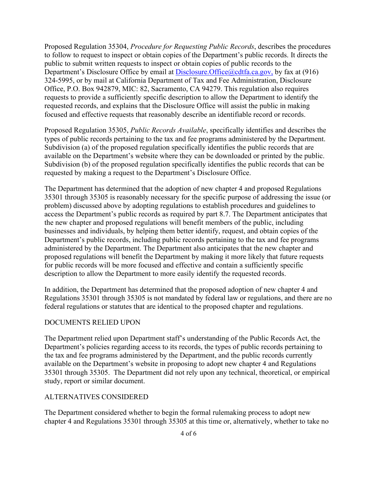Proposed Regulation 35304, *Procedure for Requesting Public Records*, describes the procedures to follow to request to inspect or obtain copies of the Department's public records. It directs the public to submit written requests to inspect or obtain copies of public records to the Department's Disclosure Office by email at [Disclosure.Office@cdtfa.ca.gov,](mailto:Disclosure.Office@cdtfa.ca.gov) by fax at (916) 324-5995, or by mail at California Department of Tax and Fee Administration, Disclosure Office, P.O. Box 942879, MIC: 82, Sacramento, CA 94279. This regulation also requires requests to provide a sufficiently specific description to allow the Department to identify the requested records, and explains that the Disclosure Office will assist the public in making focused and effective requests that reasonably describe an identifiable record or records.

Proposed Regulation 35305, *Public Records Available*, specifically identifies and describes the types of public records pertaining to the tax and fee programs administered by the Department. Subdivision (a) of the proposed regulation specifically identifies the public records that are available on the Department's website where they can be downloaded or printed by the public. Subdivision (b) of the proposed regulation specifically identifies the public records that can be requested by making a request to the Department's Disclosure Office.

The Department has determined that the adoption of new chapter 4 and proposed Regulations 35301 through 35305 is reasonably necessary for the specific purpose of addressing the issue (or problem) discussed above by adopting regulations to establish procedures and guidelines to access the Department's public records as required by part 8.7. The Department anticipates that the new chapter and proposed regulations will benefit members of the public, including businesses and individuals, by helping them better identify, request, and obtain copies of the Department's public records, including public records pertaining to the tax and fee programs administered by the Department. The Department also anticipates that the new chapter and proposed regulations will benefit the Department by making it more likely that future requests for public records will be more focused and effective and contain a sufficiently specific description to allow the Department to more easily identify the requested records.

In addition, the Department has determined that the proposed adoption of new chapter 4 and Regulations 35301 through 35305 is not mandated by federal law or regulations, and there are no federal regulations or statutes that are identical to the proposed chapter and regulations.

#### DOCUMENTS RELIED UPON

The Department relied upon Department staff's understanding of the Public Records Act, the Department's policies regarding access to its records, the types of public records pertaining to the tax and fee programs administered by the Department, and the public records currently available on the Department's website in proposing to adopt new chapter 4 and Regulations 35301 through 35305. The Department did not rely upon any technical, theoretical, or empirical study, report or similar document.

#### ALTERNATIVES CONSIDERED

The Department considered whether to begin the formal rulemaking process to adopt new chapter 4 and Regulations 35301 through 35305 at this time or, alternatively, whether to take no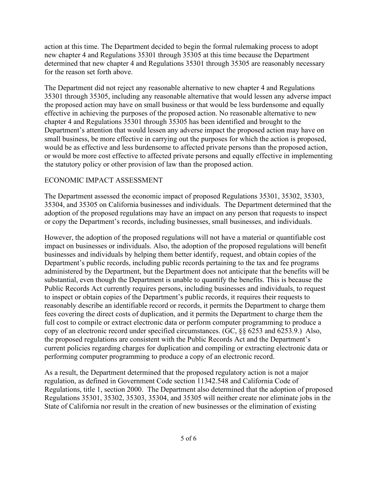action at this time. The Department decided to begin the formal rulemaking process to adopt new chapter 4 and Regulations 35301 through 35305 at this time because the Department determined that new chapter 4 and Regulations 35301 through 35305 are reasonably necessary for the reason set forth above.

The Department did not reject any reasonable alternative to new chapter 4 and Regulations 35301 through 35305, including any reasonable alternative that would lessen any adverse impact the proposed action may have on small business or that would be less burdensome and equally effective in achieving the purposes of the proposed action. No reasonable alternative to new chapter 4 and Regulations 35301 through 35305 has been identified and brought to the Department's attention that would lessen any adverse impact the proposed action may have on small business, be more effective in carrying out the purposes for which the action is proposed, would be as effective and less burdensome to affected private persons than the proposed action, or would be more cost effective to affected private persons and equally effective in implementing the statutory policy or other provision of law than the proposed action.

## ECONOMIC IMPACT ASSESSMENT

The Department assessed the economic impact of proposed Regulations 35301, 35302, 35303, 35304, and 35305 on California businesses and individuals. The Department determined that the adoption of the proposed regulations may have an impact on any person that requests to inspect or copy the Department's records, including businesses, small businesses, and individuals.

However, the adoption of the proposed regulations will not have a material or quantifiable cost impact on businesses or individuals. Also, the adoption of the proposed regulations will benefit businesses and individuals by helping them better identify, request, and obtain copies of the Department's public records, including public records pertaining to the tax and fee programs administered by the Department, but the Department does not anticipate that the benefits will be substantial, even though the Department is unable to quantify the benefits. This is because the Public Records Act currently requires persons, including businesses and individuals, to request to inspect or obtain copies of the Department's public records, it requires their requests to reasonably describe an identifiable record or records, it permits the Department to charge them fees covering the direct costs of duplication, and it permits the Department to charge them the full cost to compile or extract electronic data or perform computer programming to produce a copy of an electronic record under specified circumstances. (GC, §§ 6253 and 6253.9.) Also, the proposed regulations are consistent with the Public Records Act and the Department's current policies regarding charges for duplication and compiling or extracting electronic data or performing computer programming to produce a copy of an electronic record.

As a result, the Department determined that the proposed regulatory action is not a major regulation, as defined in Government Code section 11342.548 and California Code of Regulations, title 1, section 2000. The Department also determined that the adoption of proposed Regulations 35301, 35302, 35303, 35304, and 35305 will neither create nor eliminate jobs in the State of California nor result in the creation of new businesses or the elimination of existing